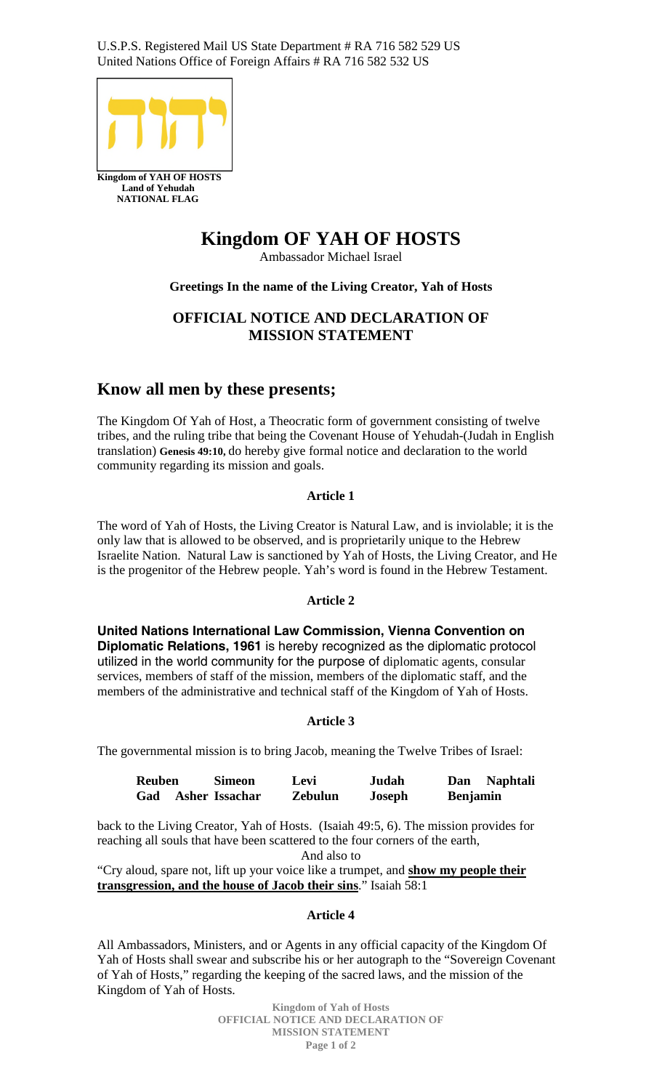U.S.P.S. Registered Mail US State Department # RA 716 582 529 US United Nations Office of Foreign Affairs # RA 716 582 532 US



# **Kingdom OF YAH OF HOSTS**

Ambassador Michael Israel

# **Greetings In the name of the Living Creator, Yah of Hosts**

# **OFFICIAL NOTICE AND DECLARATION OF MISSION STATEMENT**

# **Know all men by these presents;**

The Kingdom Of Yah of Host, a Theocratic form of government consisting of twelve tribes, and the ruling tribe that being the Covenant House of Yehudah-(Judah in English translation) **Genesis 49:10,** do hereby give formal notice and declaration to the world community regarding its mission and goals.

# **Article 1**

The word of Yah of Hosts, the Living Creator is Natural Law, and is inviolable; it is the only law that is allowed to be observed, and is proprietarily unique to the Hebrew Israelite Nation. Natural Law is sanctioned by Yah of Hosts, the Living Creator, and He is the progenitor of the Hebrew people. Yah's word is found in the Hebrew Testament.

## **Article 2**

**United Nations International Law Commission, Vienna Convention on Diplomatic Relations, 1961** is hereby recognized as the diplomatic protocol utilized in the world community for the purpose of diplomatic agents, consular services, members of staff of the mission, members of the diplomatic staff, and the members of the administrative and technical staff of the Kingdom of Yah of Hosts.

# **Article 3**

The governmental mission is to bring Jacob, meaning the Twelve Tribes of Israel:

| <b>Reuben</b> | Simeon                | Levi           | Judah         | Dan             | <b>Naphtali</b> |
|---------------|-----------------------|----------------|---------------|-----------------|-----------------|
| Gad           | <b>Asher Issachar</b> | <b>Zebulun</b> | <b>Joseph</b> | <b>Benjamin</b> |                 |

back to the Living Creator, Yah of Hosts. (Isaiah 49:5, 6). The mission provides for reaching all souls that have been scattered to the four corners of the earth,

And also to

"Cry aloud, spare not, lift up your voice like a trumpet, and **show my people their transgression, and the house of Jacob their sins**." Isaiah 58:1

## **Article 4**

All Ambassadors, Ministers, and or Agents in any official capacity of the Kingdom Of Yah of Hosts shall swear and subscribe his or her autograph to the "Sovereign Covenant of Yah of Hosts," regarding the keeping of the sacred laws, and the mission of the Kingdom of Yah of Hosts.

> **Kingdom of Yah of Hosts OFFICIAL NOTICE AND DECLARATION OF MISSION STATEMENT Page 1 of 2**